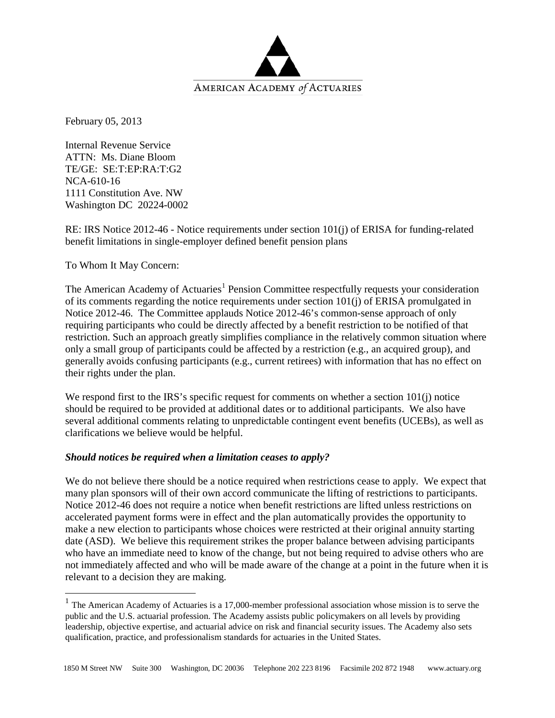

February 05, 2013

Internal Revenue Service ATTN: Ms. Diane Bloom TE/GE: SE:T:EP:RA:T:G2 NCA-610-16 1111 Constitution Ave. NW Washington DC 20224-0002

RE: IRS Notice 2012-46 - Notice requirements under section 101(j) of ERISA for funding-related benefit limitations in single-employer defined benefit pension plans

To Whom It May Concern:

The American Academy of Actuaries<sup>[1](#page-0-0)</sup> Pension Committee respectfully requests your consideration of its comments regarding the notice requirements under section 101(j) of ERISA promulgated in Notice 2012-46. The Committee applauds Notice 2012-46's common-sense approach of only requiring participants who could be directly affected by a benefit restriction to be notified of that restriction. Such an approach greatly simplifies compliance in the relatively common situation where only a small group of participants could be affected by a restriction (e.g., an acquired group), and generally avoids confusing participants (e.g., current retirees) with information that has no effect on their rights under the plan.

We respond first to the IRS's specific request for comments on whether a section 101(j) notice should be required to be provided at additional dates or to additional participants. We also have several additional comments relating to unpredictable contingent event benefits (UCEBs), as well as clarifications we believe would be helpful.

# *Should notices be required when a limitation ceases to apply?*

We do not believe there should be a notice required when restrictions cease to apply. We expect that many plan sponsors will of their own accord communicate the lifting of restrictions to participants. Notice 2012-46 does not require a notice when benefit restrictions are lifted unless restrictions on accelerated payment forms were in effect and the plan automatically provides the opportunity to make a new election to participants whose choices were restricted at their original annuity starting date (ASD). We believe this requirement strikes the proper balance between advising participants who have an immediate need to know of the change, but not being required to advise others who are not immediately affected and who will be made aware of the change at a point in the future when it is relevant to a decision they are making.

<span id="page-0-0"></span><sup>&</sup>lt;sup>1</sup> The American Academy of Actuaries is a 17,000-member professional association whose mission is to serve the public and the U.S. actuarial profession. The Academy assists public policymakers on all levels by providing leadership, objective expertise, and actuarial advice on risk and financial security issues. The Academy also sets qualification, practice, and professionalism standards for actuaries in the United States.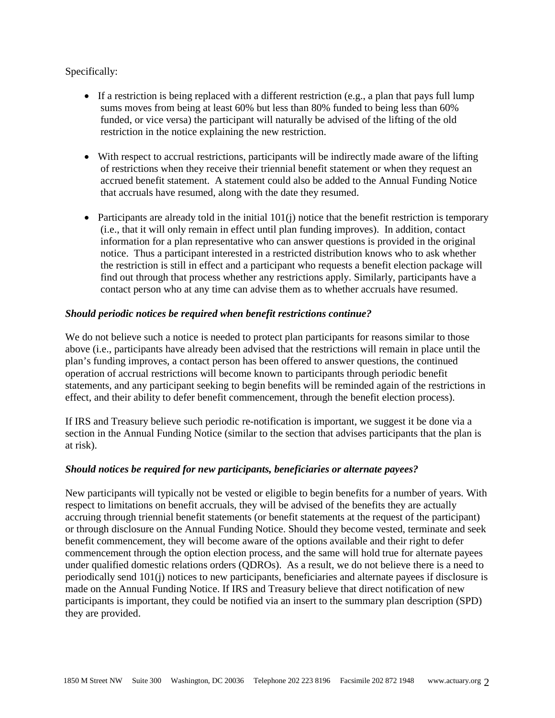## Specifically:

- If a restriction is being replaced with a different restriction (e.g., a plan that pays full lump sums moves from being at least 60% but less than 80% funded to being less than 60% funded, or vice versa) the participant will naturally be advised of the lifting of the old restriction in the notice explaining the new restriction.
- With respect to accrual restrictions, participants will be indirectly made aware of the lifting of restrictions when they receive their triennial benefit statement or when they request an accrued benefit statement. A statement could also be added to the Annual Funding Notice that accruals have resumed, along with the date they resumed.
- Participants are already told in the initial  $101(i)$  notice that the benefit restriction is temporary (i.e., that it will only remain in effect until plan funding improves). In addition, contact information for a plan representative who can answer questions is provided in the original notice. Thus a participant interested in a restricted distribution knows who to ask whether the restriction is still in effect and a participant who requests a benefit election package will find out through that process whether any restrictions apply. Similarly, participants have a contact person who at any time can advise them as to whether accruals have resumed.

## *Should periodic notices be required when benefit restrictions continue?*

We do not believe such a notice is needed to protect plan participants for reasons similar to those above (i.e., participants have already been advised that the restrictions will remain in place until the plan's funding improves, a contact person has been offered to answer questions, the continued operation of accrual restrictions will become known to participants through periodic benefit statements, and any participant seeking to begin benefits will be reminded again of the restrictions in effect, and their ability to defer benefit commencement, through the benefit election process).

If IRS and Treasury believe such periodic re-notification is important, we suggest it be done via a section in the Annual Funding Notice (similar to the section that advises participants that the plan is at risk).

## *Should notices be required for new participants, beneficiaries or alternate payees?*

New participants will typically not be vested or eligible to begin benefits for a number of years. With respect to limitations on benefit accruals, they will be advised of the benefits they are actually accruing through triennial benefit statements (or benefit statements at the request of the participant) or through disclosure on the Annual Funding Notice. Should they become vested, terminate and seek benefit commencement, they will become aware of the options available and their right to defer commencement through the option election process, and the same will hold true for alternate payees under qualified domestic relations orders (QDROs). As a result, we do not believe there is a need to periodically send 101(j) notices to new participants, beneficiaries and alternate payees if disclosure is made on the Annual Funding Notice. If IRS and Treasury believe that direct notification of new participants is important, they could be notified via an insert to the summary plan description (SPD) they are provided.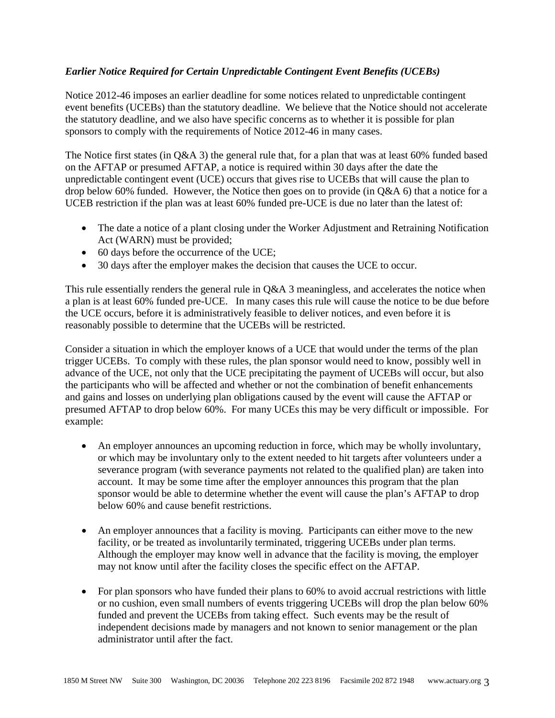# *Earlier Notice Required for Certain Unpredictable Contingent Event Benefits (UCEBs)*

Notice 2012-46 imposes an earlier deadline for some notices related to unpredictable contingent event benefits (UCEBs) than the statutory deadline. We believe that the Notice should not accelerate the statutory deadline, and we also have specific concerns as to whether it is possible for plan sponsors to comply with the requirements of Notice 2012-46 in many cases.

The Notice first states (in Q&A 3) the general rule that, for a plan that was at least 60% funded based on the AFTAP or presumed AFTAP, a notice is required within 30 days after the date the unpredictable contingent event (UCE) occurs that gives rise to UCEBs that will cause the plan to drop below 60% funded. However, the Notice then goes on to provide (in Q&A 6) that a notice for a UCEB restriction if the plan was at least 60% funded pre-UCE is due no later than the latest of:

- The date a notice of a plant closing under the Worker Adjustment and Retraining Notification Act (WARN) must be provided;
- 60 days before the occurrence of the UCE;
- 30 days after the employer makes the decision that causes the UCE to occur.

This rule essentially renders the general rule in Q&A 3 meaningless, and accelerates the notice when a plan is at least 60% funded pre-UCE. In many cases this rule will cause the notice to be due before the UCE occurs, before it is administratively feasible to deliver notices, and even before it is reasonably possible to determine that the UCEBs will be restricted.

Consider a situation in which the employer knows of a UCE that would under the terms of the plan trigger UCEBs. To comply with these rules, the plan sponsor would need to know, possibly well in advance of the UCE, not only that the UCE precipitating the payment of UCEBs will occur, but also the participants who will be affected and whether or not the combination of benefit enhancements and gains and losses on underlying plan obligations caused by the event will cause the AFTAP or presumed AFTAP to drop below 60%. For many UCEs this may be very difficult or impossible. For example:

- An employer announces an upcoming reduction in force, which may be wholly involuntary, or which may be involuntary only to the extent needed to hit targets after volunteers under a severance program (with severance payments not related to the qualified plan) are taken into account. It may be some time after the employer announces this program that the plan sponsor would be able to determine whether the event will cause the plan's AFTAP to drop below 60% and cause benefit restrictions.
- An employer announces that a facility is moving. Participants can either move to the new facility, or be treated as involuntarily terminated, triggering UCEBs under plan terms. Although the employer may know well in advance that the facility is moving, the employer may not know until after the facility closes the specific effect on the AFTAP.
- For plan sponsors who have funded their plans to 60% to avoid accrual restrictions with little or no cushion, even small numbers of events triggering UCEBs will drop the plan below 60% funded and prevent the UCEBs from taking effect. Such events may be the result of independent decisions made by managers and not known to senior management or the plan administrator until after the fact.